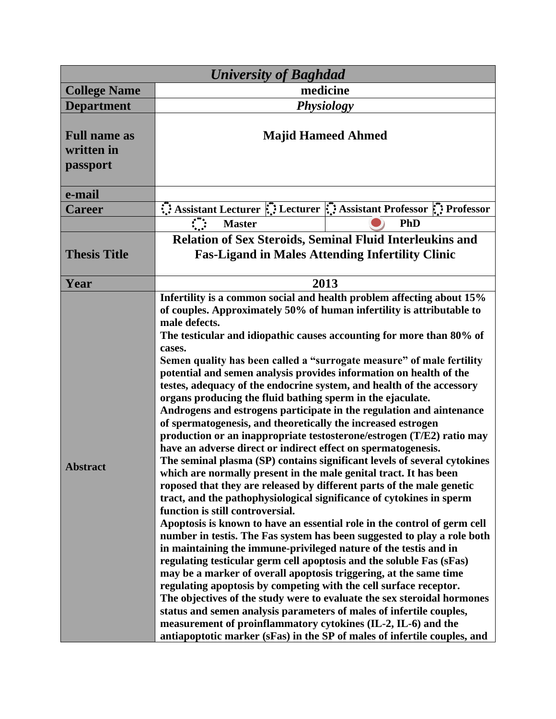| <b>University of Baghdad</b>                  |                                                                                                                                                                                                                                                                                                                                                                                                                                                                                                                                                                                                                                                                                                                                                                                                                                                                                                                                                                                                                                                                                                                                                                                                                                                                                                                                                                                                                                                                                                                                                                                                                                                                                                                                                                                                                                                                                                             |                                                                                                                               |  |
|-----------------------------------------------|-------------------------------------------------------------------------------------------------------------------------------------------------------------------------------------------------------------------------------------------------------------------------------------------------------------------------------------------------------------------------------------------------------------------------------------------------------------------------------------------------------------------------------------------------------------------------------------------------------------------------------------------------------------------------------------------------------------------------------------------------------------------------------------------------------------------------------------------------------------------------------------------------------------------------------------------------------------------------------------------------------------------------------------------------------------------------------------------------------------------------------------------------------------------------------------------------------------------------------------------------------------------------------------------------------------------------------------------------------------------------------------------------------------------------------------------------------------------------------------------------------------------------------------------------------------------------------------------------------------------------------------------------------------------------------------------------------------------------------------------------------------------------------------------------------------------------------------------------------------------------------------------------------------|-------------------------------------------------------------------------------------------------------------------------------|--|
| <b>College Name</b>                           | medicine                                                                                                                                                                                                                                                                                                                                                                                                                                                                                                                                                                                                                                                                                                                                                                                                                                                                                                                                                                                                                                                                                                                                                                                                                                                                                                                                                                                                                                                                                                                                                                                                                                                                                                                                                                                                                                                                                                    |                                                                                                                               |  |
| <b>Department</b>                             | <b>Physiology</b>                                                                                                                                                                                                                                                                                                                                                                                                                                                                                                                                                                                                                                                                                                                                                                                                                                                                                                                                                                                                                                                                                                                                                                                                                                                                                                                                                                                                                                                                                                                                                                                                                                                                                                                                                                                                                                                                                           |                                                                                                                               |  |
| <b>Full name as</b><br>written in<br>passport | <b>Majid Hameed Ahmed</b>                                                                                                                                                                                                                                                                                                                                                                                                                                                                                                                                                                                                                                                                                                                                                                                                                                                                                                                                                                                                                                                                                                                                                                                                                                                                                                                                                                                                                                                                                                                                                                                                                                                                                                                                                                                                                                                                                   |                                                                                                                               |  |
| e-mail                                        |                                                                                                                                                                                                                                                                                                                                                                                                                                                                                                                                                                                                                                                                                                                                                                                                                                                                                                                                                                                                                                                                                                                                                                                                                                                                                                                                                                                                                                                                                                                                                                                                                                                                                                                                                                                                                                                                                                             |                                                                                                                               |  |
| <b>Career</b>                                 |                                                                                                                                                                                                                                                                                                                                                                                                                                                                                                                                                                                                                                                                                                                                                                                                                                                                                                                                                                                                                                                                                                                                                                                                                                                                                                                                                                                                                                                                                                                                                                                                                                                                                                                                                                                                                                                                                                             | Assistant Lecturer $\dddot{\mathbf{u}}$ : Lecturer $\dddot{\mathbf{u}}$ : Assistant Professor $\ddot{\mathbf{u}}$ : Professor |  |
|                                               | $\mathcal{L}(\mathcal{A})$<br><b>Master</b>                                                                                                                                                                                                                                                                                                                                                                                                                                                                                                                                                                                                                                                                                                                                                                                                                                                                                                                                                                                                                                                                                                                                                                                                                                                                                                                                                                                                                                                                                                                                                                                                                                                                                                                                                                                                                                                                 | <b>PhD</b>                                                                                                                    |  |
| <b>Thesis Title</b>                           | <b>Relation of Sex Steroids, Seminal Fluid Interleukins and</b><br><b>Fas-Ligand in Males Attending Infertility Clinic</b>                                                                                                                                                                                                                                                                                                                                                                                                                                                                                                                                                                                                                                                                                                                                                                                                                                                                                                                                                                                                                                                                                                                                                                                                                                                                                                                                                                                                                                                                                                                                                                                                                                                                                                                                                                                  |                                                                                                                               |  |
| Year                                          | 2013                                                                                                                                                                                                                                                                                                                                                                                                                                                                                                                                                                                                                                                                                                                                                                                                                                                                                                                                                                                                                                                                                                                                                                                                                                                                                                                                                                                                                                                                                                                                                                                                                                                                                                                                                                                                                                                                                                        |                                                                                                                               |  |
| <b>Abstract</b>                               | Infertility is a common social and health problem affecting about 15%<br>of couples. Approximately 50% of human infertility is attributable to<br>male defects.<br>The testicular and idiopathic causes accounting for more than 80% of<br>cases.<br>Semen quality has been called a "surrogate measure" of male fertility<br>potential and semen analysis provides information on health of the<br>testes, adequacy of the endocrine system, and health of the accessory<br>organs producing the fluid bathing sperm in the ejaculate.<br>Androgens and estrogens participate in the regulation and aintenance<br>of spermatogenesis, and theoretically the increased estrogen<br>production or an inappropriate testosterone/estrogen (T/E2) ratio may<br>have an adverse direct or indirect effect on spermatogenesis.<br>The seminal plasma (SP) contains significant levels of several cytokines<br>which are normally present in the male genital tract. It has been<br>roposed that they are released by different parts of the male genetic<br>tract, and the pathophysiological significance of cytokines in sperm<br>function is still controversial.<br>Apoptosis is known to have an essential role in the control of germ cell<br>number in testis. The Fas system has been suggested to play a role both<br>in maintaining the immune-privileged nature of the testis and in<br>regulating testicular germ cell apoptosis and the soluble Fas (sFas)<br>may be a marker of overall apoptosis triggering, at the same time<br>regulating apoptosis by competing with the cell surface receptor.<br>The objectives of the study were to evaluate the sex steroidal hormones<br>status and semen analysis parameters of males of infertile couples,<br>measurement of proinflammatory cytokines (IL-2, IL-6) and the<br>antiapoptotic marker (sFas) in the SP of males of infertile couples, and |                                                                                                                               |  |